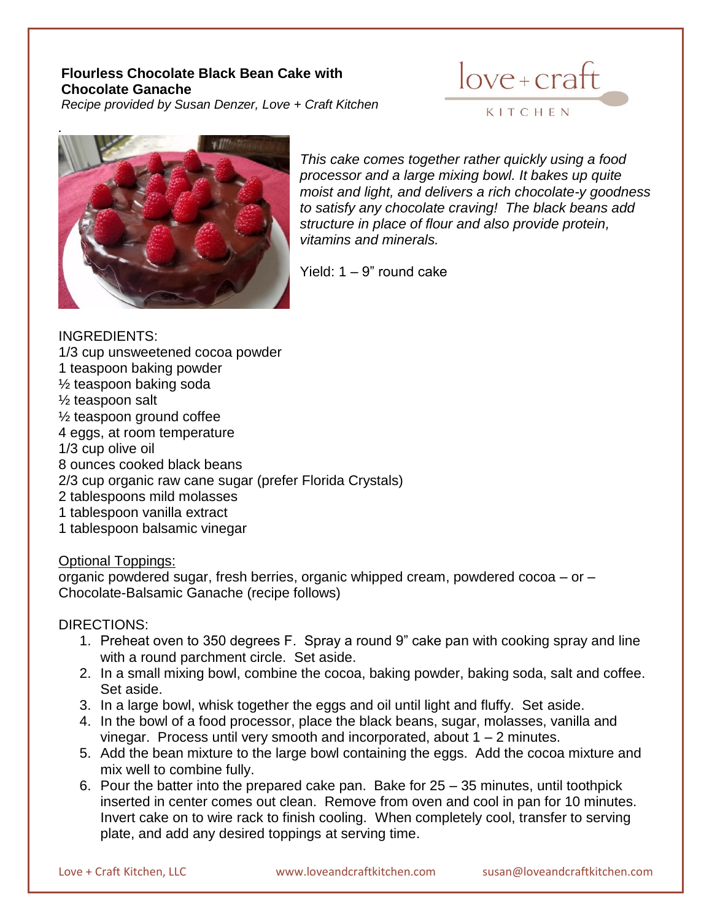# **Flourless Chocolate Black Bean Cake with Chocolate Ganache**

*Recipe provided by Susan Denzer, Love + Craft Kitchen*





*This cake comes together rather quickly using a food processor and a large mixing bowl. It bakes up quite moist and light, and delivers a rich chocolate-y goodness to satisfy any chocolate craving! The black beans add structure in place of flour and also provide protein, vitamins and minerals.*

Yield: 1 – 9" round cake

### INGREDIENTS: 1/3 cup unsweetened cocoa powder 1 teaspoon baking powder ½ teaspoon baking soda ½ teaspoon salt ½ teaspoon ground coffee 4 eggs, at room temperature 1/3 cup olive oil 8 ounces cooked black beans 2/3 cup organic raw cane sugar (prefer Florida Crystals) 2 tablespoons mild molasses 1 tablespoon vanilla extract 1 tablespoon balsamic vinegar

### Optional Toppings:

organic powdered sugar, fresh berries, organic whipped cream, powdered cocoa – or – Chocolate-Balsamic Ganache (recipe follows)

## DIRECTIONS:

- 1. Preheat oven to 350 degrees F. Spray a round 9" cake pan with cooking spray and line with a round parchment circle. Set aside.
- 2. In a small mixing bowl, combine the cocoa, baking powder, baking soda, salt and coffee. Set aside.
- 3. In a large bowl, whisk together the eggs and oil until light and fluffy. Set aside.
- 4. In the bowl of a food processor, place the black beans, sugar, molasses, vanilla and vinegar. Process until very smooth and incorporated, about  $1 - 2$  minutes.
- 5. Add the bean mixture to the large bowl containing the eggs. Add the cocoa mixture and mix well to combine fully.
- 6. Pour the batter into the prepared cake pan. Bake for 25 35 minutes, until toothpick inserted in center comes out clean. Remove from oven and cool in pan for 10 minutes. Invert cake on to wire rack to finish cooling. When completely cool, transfer to serving plate, and add any desired toppings at serving time.